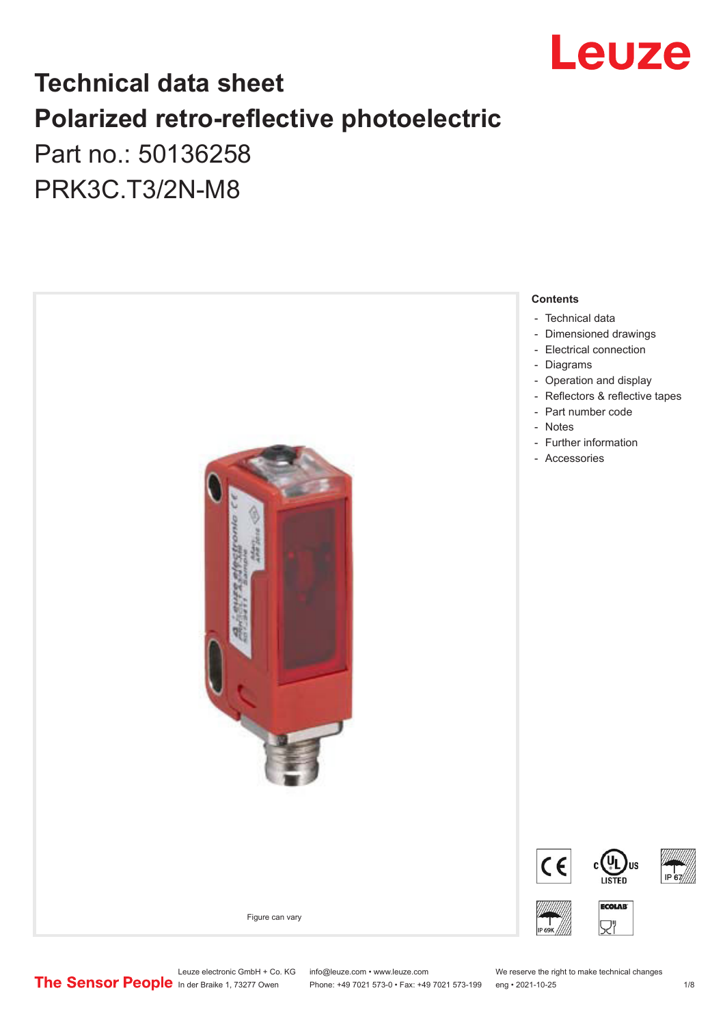

## **Technical data sheet Polarized retro-reflective photoelectric**  Part no.: 50136258

PRK3C.T3/2N-M8



Leuze electronic GmbH + Co. KG info@leuze.com • www.leuze.com We reserve the right to make technical changes<br>
The Sensor People in der Braike 1, 73277 Owen Phone: +49 7021 573-0 • Fax: +49 7021 573-199 eng • 2021-10-25

Phone: +49 7021 573-0 • Fax: +49 7021 573-199 eng • 2021-10-25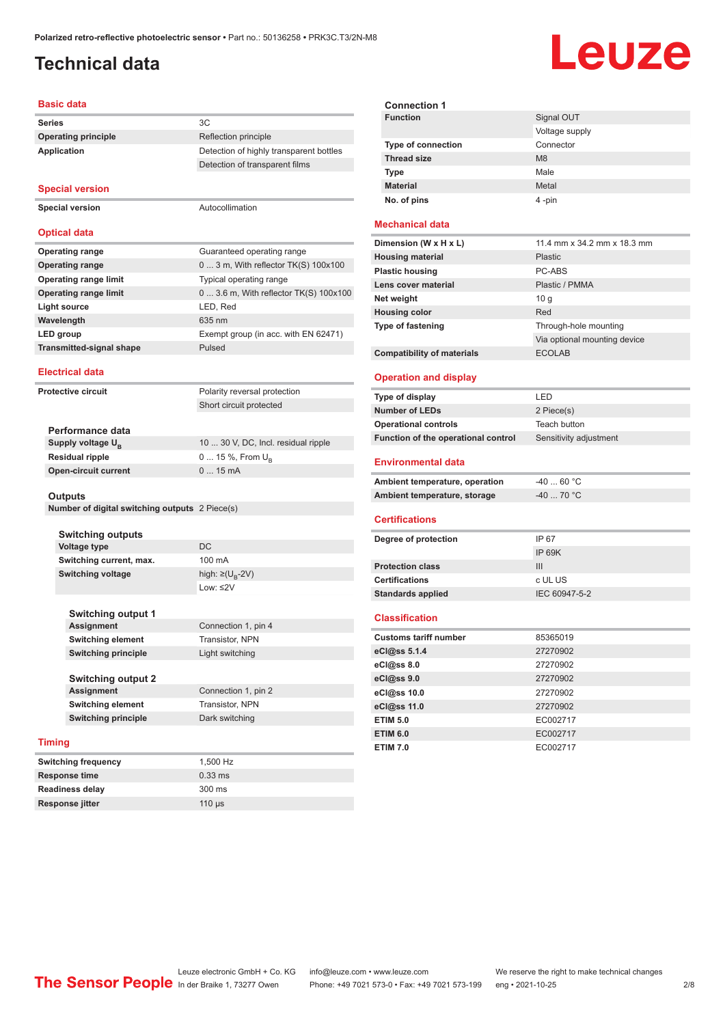#### <span id="page-1-0"></span>**Technical data**

## Leuze

#### **Basic data**

| <b>Series</b>                                  | 3C                                      |
|------------------------------------------------|-----------------------------------------|
| <b>Operating principle</b>                     | Reflection principle                    |
| <b>Application</b>                             | Detection of highly transparent bottles |
|                                                | Detection of transparent films          |
| <b>Special version</b>                         |                                         |
| <b>Special version</b>                         | Autocollimation                         |
| <b>Optical data</b>                            |                                         |
| <b>Operating range</b>                         | Guaranteed operating range              |
| <b>Operating range</b>                         | 0  3 m, With reflector TK(S) 100x100    |
| <b>Operating range limit</b>                   | Typical operating range                 |
| <b>Operating range limit</b>                   | 0  3.6 m, With reflector TK(S) 100x100  |
| <b>Light source</b>                            | LED, Red                                |
| Wavelength                                     | 635 nm                                  |
| <b>LED</b> group                               | Exempt group (in acc. with EN 62471)    |
| <b>Transmitted-signal shape</b>                | Pulsed                                  |
| <b>Electrical data</b>                         |                                         |
| <b>Protective circuit</b>                      | Polarity reversal protection            |
|                                                | Short circuit protected                 |
|                                                |                                         |
| Performance data                               |                                         |
| Supply voltage U <sub>B</sub>                  | 10  30 V, DC, Incl. residual ripple     |
| <b>Residual ripple</b>                         | 0  15 %, From $U_B$                     |
| <b>Open-circuit current</b>                    | 015mA                                   |
| <b>Outputs</b>                                 |                                         |
| Number of digital switching outputs 2 Piece(s) |                                         |
|                                                |                                         |
|                                                |                                         |
| <b>Switching outputs</b>                       |                                         |

**Switching current, max.** 100 mA **Switching voltage** high:  $\geq (U_p - 2V)$ Low: ≤2V **Switching output 1 Connection 1, pin 4 Switching element** Transistor, NPN **Switching principle** Light switching **Switching output 2 Connection 1, pin 2 Switching element** Transistor, NPN **Switching principle** Dark switching **Timing Switching frequency** 1,500 Hz **Response time** 0.33 ms

#### **Connection 1 Signal OUT** Voltage supply **Type of connection** Connector **Thread size** M8 **Type Male Material** Metal **No. of pins** 4 -pin

#### **Mechanical data**

| Dimension (W x H x L)             | 11.4 mm x 34.2 mm x 18.3 mm  |
|-----------------------------------|------------------------------|
| <b>Housing material</b>           | <b>Plastic</b>               |
| <b>Plastic housing</b>            | PC-ABS                       |
| Lens cover material               | Plastic / PMMA               |
| Net weight                        | 10q                          |
| <b>Housing color</b>              | Red                          |
| <b>Type of fastening</b>          | Through-hole mounting        |
|                                   | Via optional mounting device |
| <b>Compatibility of materials</b> | <b>ECOLAB</b>                |

#### **Operation and display**

| Type of display                     | I FD.                  |
|-------------------------------------|------------------------|
| <b>Number of LEDs</b>               | 2 Piece(s)             |
| <b>Operational controls</b>         | Teach button           |
| Function of the operational control | Sensitivity adjustment |

#### **Environmental data**

| Ambient temperature, operation | -40  60 °C |
|--------------------------------|------------|
| Ambient temperature, storage   | -40  70 °C |

#### **Certifications**

| Degree of protection     | IP 67         |
|--------------------------|---------------|
|                          | IP 69K        |
| <b>Protection class</b>  | Ш             |
| <b>Certifications</b>    | c UL US       |
| <b>Standards applied</b> | IEC 60947-5-2 |
|                          |               |

#### **Classification**

| <b>Customs tariff number</b> | 85365019 |  |
|------------------------------|----------|--|
| eCl@ss 5.1.4                 | 27270902 |  |
| eCl@ss 8.0                   | 27270902 |  |
| eCl@ss 9.0                   | 27270902 |  |
| eCl@ss 10.0                  | 27270902 |  |
| eCl@ss 11.0                  | 27270902 |  |
| <b>ETIM 5.0</b>              | EC002717 |  |
| <b>ETIM 6.0</b>              | EC002717 |  |
| <b>ETIM 7.0</b>              | EC002717 |  |

**Readiness delay** 300 ms **Response jitter** 110 µs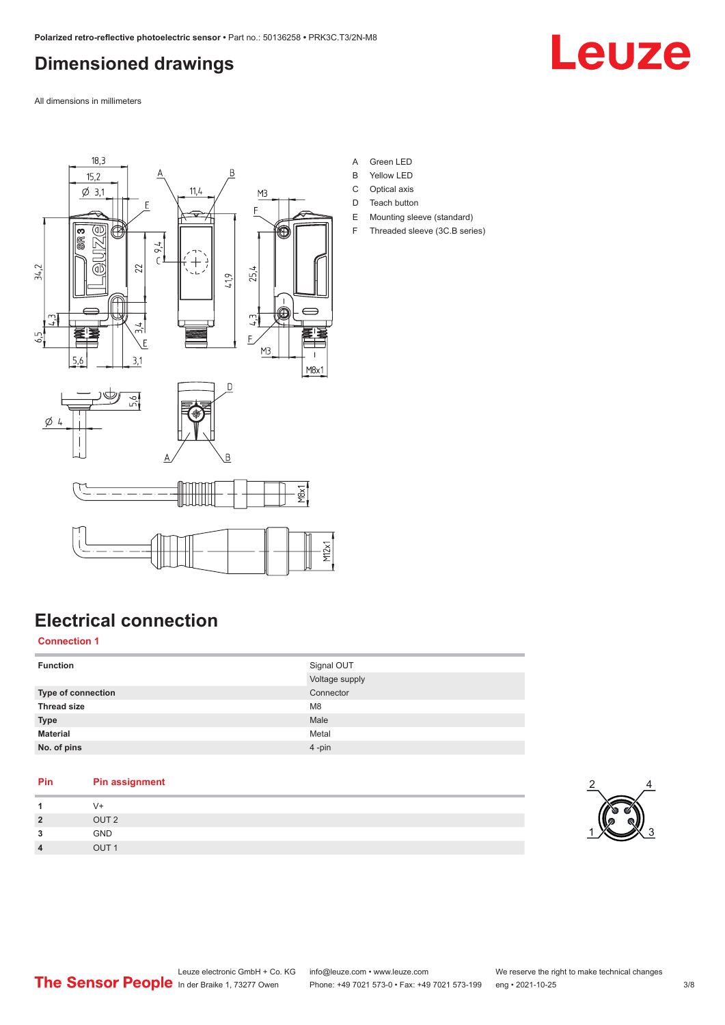## <span id="page-2-0"></span>**Dimensioned drawings**



All dimensions in millimeters



**Electrical connection**

#### **Connection 1**

| <b>Function</b>           | Signal OUT<br>Voltage supply |
|---------------------------|------------------------------|
| <b>Type of connection</b> | Connector                    |
| <b>Thread size</b>        | M <sub>8</sub>               |
| <b>Type</b>               | Male                         |
| <b>Material</b>           | Metal                        |
| No. of pins               | $4 - pin$                    |

| Pin            | <b>Pin assignment</b> |  |
|----------------|-----------------------|--|
|                | V+                    |  |
| $\overline{2}$ | OUT <sub>2</sub>      |  |
| ໍາ             | <b>GND</b>            |  |
| 4              | OUT <sub>1</sub>      |  |
|                |                       |  |

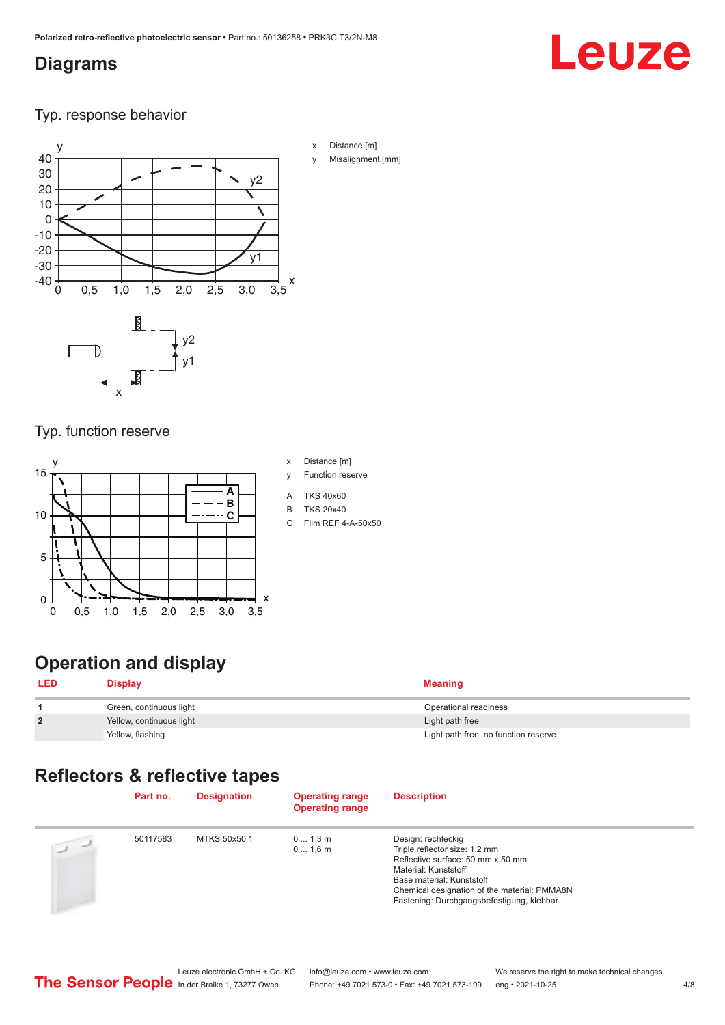#### <span id="page-3-0"></span>**Diagrams**

# Leuze

Typ. response behavior



- x Distance [m]
- Misalignment [mm]

Typ. function reserve

x



## **Operation and display**

| <b>LED</b>     | <b>Display</b>           | <b>Meaning</b>                       |
|----------------|--------------------------|--------------------------------------|
|                | Green, continuous light  | Operational readiness                |
| $\overline{2}$ | Yellow, continuous light | Light path free                      |
|                | Yellow, flashing         | Light path free, no function reserve |

## **Reflectors & reflective tapes**

|           | Part no. | <b>Designation</b> | <b>Operating range</b><br><b>Operating range</b> | <b>Description</b>                                                                                                                                                                                                                         |
|-----------|----------|--------------------|--------------------------------------------------|--------------------------------------------------------------------------------------------------------------------------------------------------------------------------------------------------------------------------------------------|
| $\supset$ | 50117583 | MTKS 50x50.1       | 01.3m<br>01.6m                                   | Design: rechteckig<br>Triple reflector size: 1.2 mm<br>Reflective surface: 50 mm x 50 mm<br>Material: Kunststoff<br>Base material: Kunststoff<br>Chemical designation of the material: PMMA8N<br>Fastening: Durchgangsbefestigung, klebbar |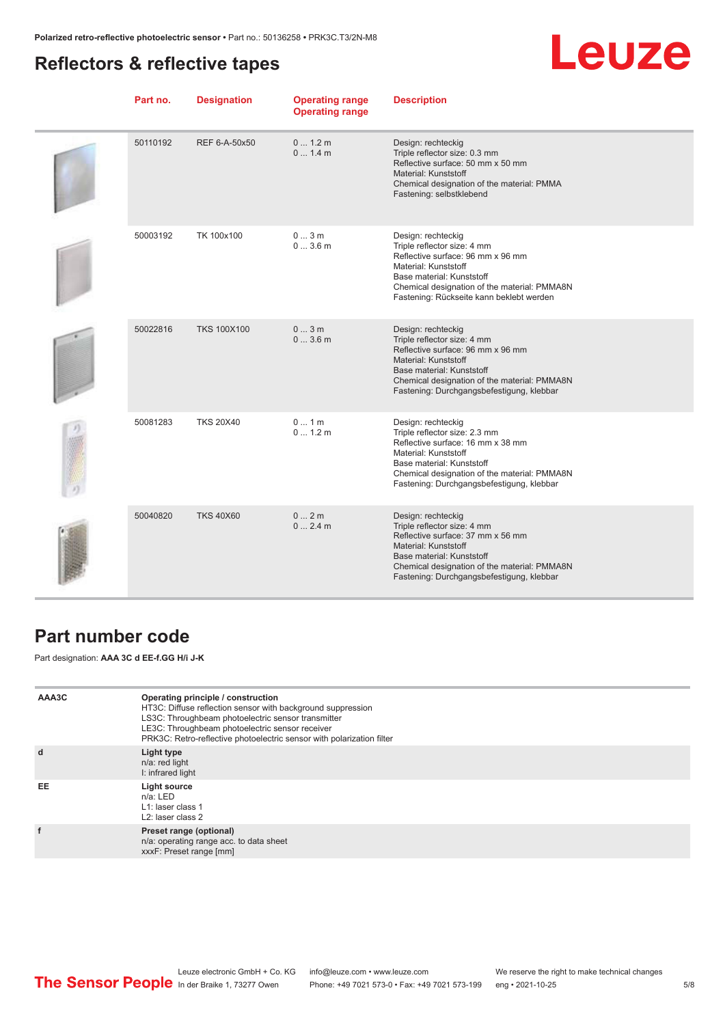## <span id="page-4-0"></span>**Reflectors & reflective tapes**



| Part no. | <b>Designation</b> | <b>Operating range</b><br><b>Operating range</b> | <b>Description</b>                                                                                                                                                                                                                         |
|----------|--------------------|--------------------------------------------------|--------------------------------------------------------------------------------------------------------------------------------------------------------------------------------------------------------------------------------------------|
| 50110192 | REF 6-A-50x50      | 01.2m<br>01.4m                                   | Design: rechteckig<br>Triple reflector size: 0.3 mm<br>Reflective surface: 50 mm x 50 mm<br>Material: Kunststoff<br>Chemical designation of the material: PMMA<br>Fastening: selbstklebend                                                 |
| 50003192 | TK 100x100         | 03m<br>03.6m                                     | Design: rechteckig<br>Triple reflector size: 4 mm<br>Reflective surface: 96 mm x 96 mm<br>Material: Kunststoff<br>Base material: Kunststoff<br>Chemical designation of the material: PMMA8N<br>Fastening: Rückseite kann beklebt werden    |
| 50022816 | <b>TKS 100X100</b> | 03m<br>03.6m                                     | Design: rechteckig<br>Triple reflector size: 4 mm<br>Reflective surface: 96 mm x 96 mm<br>Material: Kunststoff<br>Base material: Kunststoff<br>Chemical designation of the material: PMMA8N<br>Fastening: Durchgangsbefestigung, klebbar   |
| 50081283 | <b>TKS 20X40</b>   | 01m<br>0 1.2 m                                   | Design: rechteckig<br>Triple reflector size: 2.3 mm<br>Reflective surface: 16 mm x 38 mm<br>Material: Kunststoff<br>Base material: Kunststoff<br>Chemical designation of the material: PMMA8N<br>Fastening: Durchgangsbefestigung, klebbar |
| 50040820 | <b>TKS 40X60</b>   | 02m<br>02.4m                                     | Design: rechteckig<br>Triple reflector size: 4 mm<br>Reflective surface: 37 mm x 56 mm<br>Material: Kunststoff<br>Base material: Kunststoff<br>Chemical designation of the material: PMMA8N<br>Fastening: Durchgangsbefestigung, klebbar   |

### **Part number code**

Part designation: **AAA 3C d EE-f.GG H/i J-K**

| AAA3C | Operating principle / construction<br>HT3C: Diffuse reflection sensor with background suppression<br>LS3C: Throughbeam photoelectric sensor transmitter<br>LE3C: Throughbeam photoelectric sensor receiver<br>PRK3C: Retro-reflective photoelectric sensor with polarization filter |
|-------|-------------------------------------------------------------------------------------------------------------------------------------------------------------------------------------------------------------------------------------------------------------------------------------|
| d     | Light type<br>n/a: red light<br>I: infrared light                                                                                                                                                                                                                                   |
| EE    | Light source<br>$n/a$ : LED<br>L1: laser class 1<br>$L2$ : laser class 2                                                                                                                                                                                                            |
|       | Preset range (optional)<br>n/a: operating range acc. to data sheet<br>xxxF: Preset range [mm]                                                                                                                                                                                       |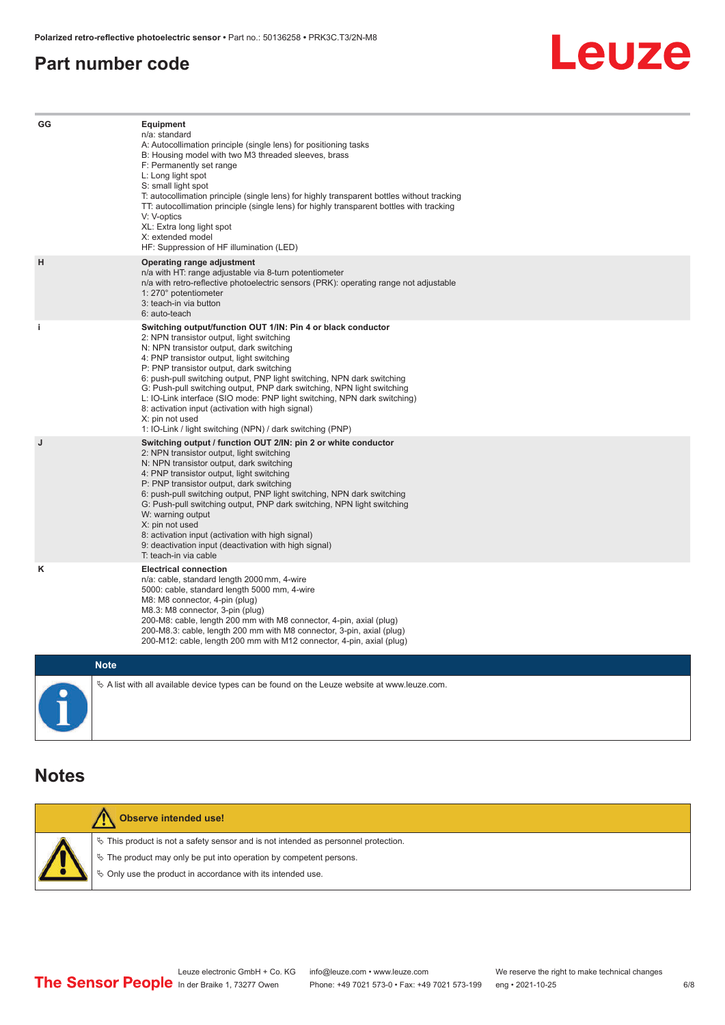#### <span id="page-5-0"></span>**Part number code**



| GG          | Equipment<br>n/a: standard<br>A: Autocollimation principle (single lens) for positioning tasks<br>B: Housing model with two M3 threaded sleeves, brass<br>F: Permanently set range<br>L: Long light spot<br>S: small light spot<br>T: autocollimation principle (single lens) for highly transparent bottles without tracking<br>TT: autocollimation principle (single lens) for highly transparent bottles with tracking<br>V: V-optics<br>XL: Extra long light spot<br>X: extended model<br>HF: Suppression of HF illumination (LED)                                                                              |
|-------------|---------------------------------------------------------------------------------------------------------------------------------------------------------------------------------------------------------------------------------------------------------------------------------------------------------------------------------------------------------------------------------------------------------------------------------------------------------------------------------------------------------------------------------------------------------------------------------------------------------------------|
| н           | Operating range adjustment<br>n/a with HT: range adjustable via 8-turn potentiometer<br>n/a with retro-reflective photoelectric sensors (PRK): operating range not adjustable<br>1: 270° potentiometer<br>3: teach-in via button<br>6: auto-teach                                                                                                                                                                                                                                                                                                                                                                   |
| j.          | Switching output/function OUT 1/IN: Pin 4 or black conductor<br>2: NPN transistor output, light switching<br>N: NPN transistor output, dark switching<br>4: PNP transistor output, light switching<br>P: PNP transistor output, dark switching<br>6: push-pull switching output, PNP light switching, NPN dark switching<br>G: Push-pull switching output, PNP dark switching, NPN light switching<br>L: IO-Link interface (SIO mode: PNP light switching, NPN dark switching)<br>8: activation input (activation with high signal)<br>X: pin not used<br>1: IO-Link / light switching (NPN) / dark switching (PNP) |
| J           | Switching output / function OUT 2/IN: pin 2 or white conductor<br>2: NPN transistor output, light switching<br>N: NPN transistor output, dark switching<br>4: PNP transistor output, light switching<br>P: PNP transistor output, dark switching<br>6: push-pull switching output, PNP light switching, NPN dark switching<br>G: Push-pull switching output, PNP dark switching, NPN light switching<br>W: warning output<br>X: pin not used<br>8: activation input (activation with high signal)<br>9: deactivation input (deactivation with high signal)<br>T: teach-in via cable                                 |
| κ           | <b>Electrical connection</b><br>n/a: cable, standard length 2000 mm, 4-wire<br>5000: cable, standard length 5000 mm, 4-wire<br>M8: M8 connector, 4-pin (plug)<br>M8.3: M8 connector, 3-pin (plug)<br>200-M8: cable, length 200 mm with M8 connector, 4-pin, axial (plug)<br>200-M8.3: cable, length 200 mm with M8 connector, 3-pin, axial (plug)<br>200-M12: cable, length 200 mm with M12 connector, 4-pin, axial (plug)                                                                                                                                                                                          |
| <b>Note</b> |                                                                                                                                                                                                                                                                                                                                                                                                                                                                                                                                                                                                                     |

 $\%$  A list with all available device types can be found on the Leuze website at www.leuze.com.

#### **Notes**

|  | <b>Observe intended use!</b>                                                          |
|--|---------------------------------------------------------------------------------------|
|  | $\%$ This product is not a safety sensor and is not intended as personnel protection. |
|  | $\%$ The product may only be put into operation by competent persons.                 |
|  | ♦ Only use the product in accordance with its intended use.                           |
|  |                                                                                       |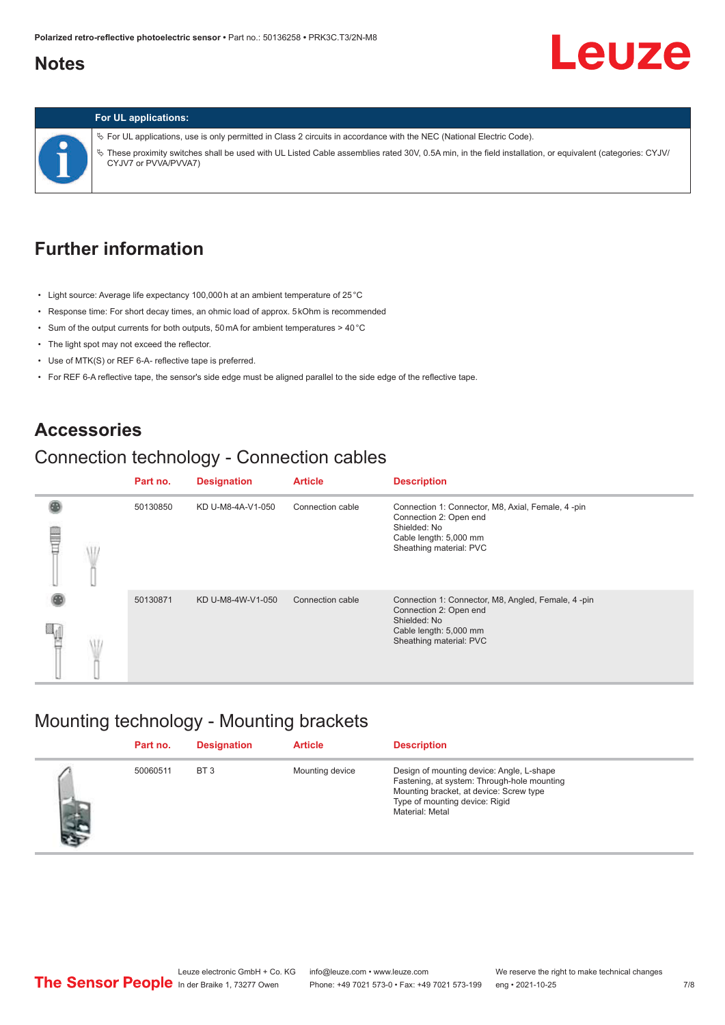#### <span id="page-6-0"></span>**Notes**

# **Leuze**

#### **For UL applications:**

ª For UL applications, use is only permitted in Class 2 circuits in accordance with the NEC (National Electric Code). ª These proximity switches shall be used with UL Listed Cable assemblies rated 30V, 0.5A min, in the field installation, or equivalent (categories: CYJV/ CYJV7 or PVVA/PVVA7)

## **Further information**

- Light source: Average life expectancy 100,000 h at an ambient temperature of 25 °C
- Response time: For short decay times, an ohmic load of approx. 5 kOhm is recommended
- Sum of the output currents for both outputs, 50 mA for ambient temperatures > 40 °C
- The light spot may not exceed the reflector.
- Use of MTK(S) or REF 6-A- reflective tape is preferred.
- For REF 6-A reflective tape, the sensor's side edge must be aligned parallel to the side edge of the reflective tape.

#### **Accessories**

## Connection technology - Connection cables

|   | Part no. | <b>Designation</b> | <b>Article</b>   | <b>Description</b>                                                                                                                                 |
|---|----------|--------------------|------------------|----------------------------------------------------------------------------------------------------------------------------------------------------|
| ŧ | 50130850 | KD U-M8-4A-V1-050  | Connection cable | Connection 1: Connector, M8, Axial, Female, 4-pin<br>Connection 2: Open end<br>Shielded: No<br>Cable length: 5,000 mm<br>Sheathing material: PVC   |
|   | 50130871 | KD U-M8-4W-V1-050  | Connection cable | Connection 1: Connector, M8, Angled, Female, 4 -pin<br>Connection 2: Open end<br>Shielded: No<br>Cable length: 5,000 mm<br>Sheathing material: PVC |

#### Mounting technology - Mounting brackets

|     | Part no. | <b>Designation</b> | <b>Article</b>  | <b>Description</b>                                                                                                                                                                       |
|-----|----------|--------------------|-----------------|------------------------------------------------------------------------------------------------------------------------------------------------------------------------------------------|
| 出す。 | 50060511 | BT <sub>3</sub>    | Mounting device | Design of mounting device: Angle, L-shape<br>Fastening, at system: Through-hole mounting<br>Mounting bracket, at device: Screw type<br>Type of mounting device: Rigid<br>Material: Metal |